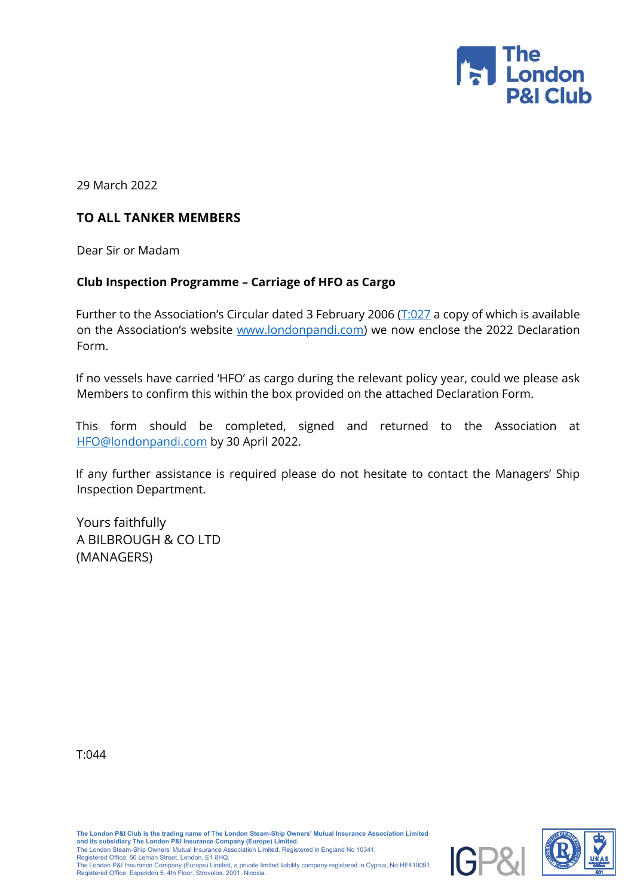

29 March 2022

## **TO ALL TANKER MEMBERS**

Dear Sir or Madam

## **Club Inspection Programme – Carriage of HFO as Cargo**

Further to the Association's Circular dated 3 February 2006 ( $\overline{T:027}$  $\overline{T:027}$  $\overline{T:027}$  a copy of which is available on the Association's website [www.londonpandi.com\)](http://www.londonpandi.com/) we now enclose the 2022 Declaration Form.

If no vessels have carried 'HFO' as cargo during the relevant policy year, could we please ask Members to confirm this within the box provided on the attached Declaration Form.

This form should be completed, signed and returned to the Association at [HFO@londonpandi.com](mailto:HFO@londonpandi.com) by 30 April 2022.

If any further assistance is required please do not hesitate to contact the Managers' Ship Inspection Department.

Yours faithfully A BILBROUGH & CO LTD (MANAGERS)

T:044